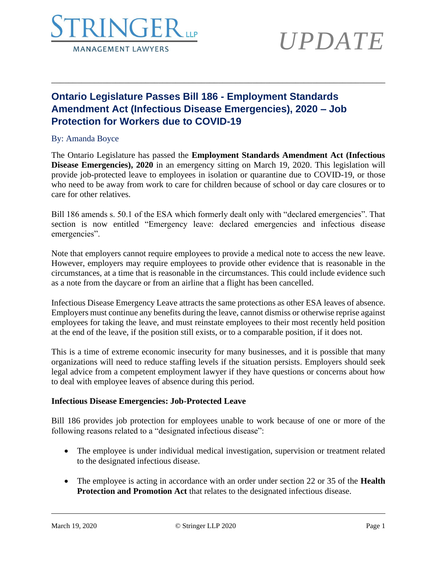

# *UPDATE*

## **Ontario Legislature Passes Bill 186 - Employment Standards Amendment Act (Infectious Disease Emergencies), 2020 – Job Protection for Workers due to COVID-19**

### By: Amanda Boyce

The Ontario Legislature has passed the **Employment Standards Amendment Act (Infectious Disease Emergencies), 2020** in an emergency sitting on March 19, 2020. This legislation will provide job-protected leave to employees in isolation or quarantine due to COVID-19, or those who need to be away from work to care for children because of school or day care closures or to care for other relatives.

\_\_\_\_\_\_\_\_\_\_\_\_\_\_\_\_\_\_\_\_\_\_\_\_\_\_\_\_\_\_\_\_\_\_\_\_\_\_\_\_\_\_\_\_\_\_\_\_\_\_\_\_\_\_\_\_\_\_\_\_\_\_\_\_\_\_\_\_\_\_\_\_\_\_\_\_\_\_

Bill 186 amends s. 50.1 of the ESA which formerly dealt only with "declared emergencies". That section is now entitled "Emergency leave: declared emergencies and infectious disease emergencies".

Note that employers cannot require employees to provide a medical note to access the new leave. However, employers may require employees to provide other evidence that is reasonable in the circumstances, at a time that is reasonable in the circumstances. This could include evidence such as a note from the daycare or from an airline that a flight has been cancelled.

Infectious Disease Emergency Leave attracts the same protections as other ESA leaves of absence. Employers must continue any benefits during the leave, cannot dismiss or otherwise reprise against employees for taking the leave, and must reinstate employees to their most recently held position at the end of the leave, if the position still exists, or to a comparable position, if it does not.

This is a time of extreme economic insecurity for many businesses, and it is possible that many organizations will need to reduce staffing levels if the situation persists. Employers should seek legal advice from a competent employment lawyer if they have questions or concerns about how to deal with employee leaves of absence during this period.

### **Infectious Disease Emergencies: Job-Protected Leave**

Bill 186 provides job protection for employees unable to work because of one or more of the following reasons related to a "designated infectious disease":

- The employee is under individual medical investigation, supervision or treatment related to the designated infectious disease.
- The employee is acting in accordance with an order under section 22 or 35 of the **Health Protection and Promotion Act** that relates to the designated infectious disease.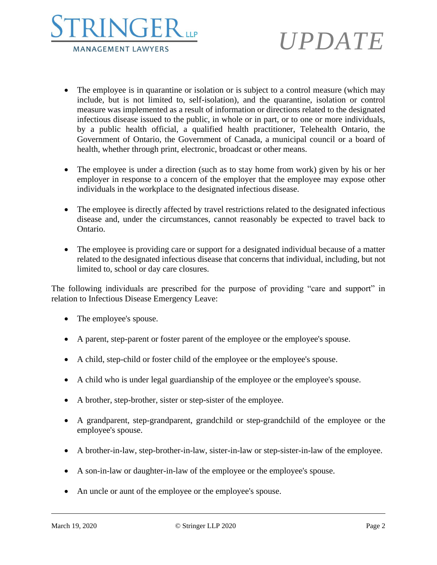



- The employee is in quarantine or isolation or is subject to a control measure (which may include, but is not limited to, self-isolation), and the quarantine, isolation or control measure was implemented as a result of information or directions related to the designated infectious disease issued to the public, in whole or in part, or to one or more individuals, by a public health official, a qualified health practitioner, Telehealth Ontario, the Government of Ontario, the Government of Canada, a municipal council or a board of health, whether through print, electronic, broadcast or other means.
- The employee is under a direction (such as to stay home from work) given by his or her employer in response to a concern of the employer that the employee may expose other individuals in the workplace to the designated infectious disease.
- The employee is directly affected by travel restrictions related to the designated infectious disease and, under the circumstances, cannot reasonably be expected to travel back to Ontario.
- The employee is providing care or support for a designated individual because of a matter related to the designated infectious disease that concerns that individual, including, but not limited to, school or day care closures.

The following individuals are prescribed for the purpose of providing "care and support" in relation to Infectious Disease Emergency Leave:

- The employee's spouse.
- A parent, step-parent or foster parent of the employee or the employee's spouse.
- A child, step-child or foster child of the employee or the employee's spouse.
- A child who is under legal guardianship of the employee or the employee's spouse.
- A brother, step-brother, sister or step-sister of the employee.
- A grandparent, step-grandparent, grandchild or step-grandchild of the employee or the employee's spouse.
- A brother-in-law, step-brother-in-law, sister-in-law or step-sister-in-law of the employee.
- A son-in-law or daughter-in-law of the employee or the employee's spouse.
- An uncle or aunt of the employee or the employee's spouse.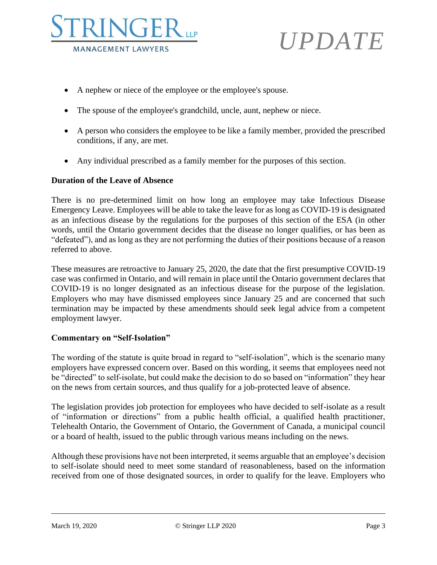



- A nephew or niece of the employee or the employee's spouse.
- The spouse of the employee's grandchild, uncle, aunt, nephew or niece.
- A person who considers the employee to be like a family member, provided the prescribed conditions, if any, are met.
- Any individual prescribed as a family member for the purposes of this section.

#### **Duration of the Leave of Absence**

There is no pre-determined limit on how long an employee may take Infectious Disease Emergency Leave. Employees will be able to take the leave for as long as COVID-19 is designated as an infectious disease by the regulations for the purposes of this section of the ESA (in other words, until the Ontario government decides that the disease no longer qualifies, or has been as "defeated"), and as long as they are not performing the duties of their positions because of a reason referred to above.

These measures are retroactive to January 25, 2020, the date that the first presumptive COVID-19 case was confirmed in Ontario, and will remain in place until the Ontario government declares that COVID-19 is no longer designated as an infectious disease for the purpose of the legislation. Employers who may have dismissed employees since January 25 and are concerned that such termination may be impacted by these amendments should seek legal advice from a competent employment lawyer.

#### **Commentary on "Self-Isolation"**

The wording of the statute is quite broad in regard to "self-isolation", which is the scenario many employers have expressed concern over. Based on this wording, it seems that employees need not be "directed" to self-isolate, but could make the decision to do so based on "information" they hear on the news from certain sources, and thus qualify for a job-protected leave of absence.

The legislation provides job protection for employees who have decided to self-isolate as a result of "information or directions" from a public health official, a qualified health practitioner, Telehealth Ontario, the Government of Ontario, the Government of Canada, a municipal council or a board of health, issued to the public through various means including on the news.

Although these provisions have not been interpreted, it seems arguable that an employee's decision to self-isolate should need to meet some standard of reasonableness, based on the information received from one of those designated sources, in order to qualify for the leave. Employers who